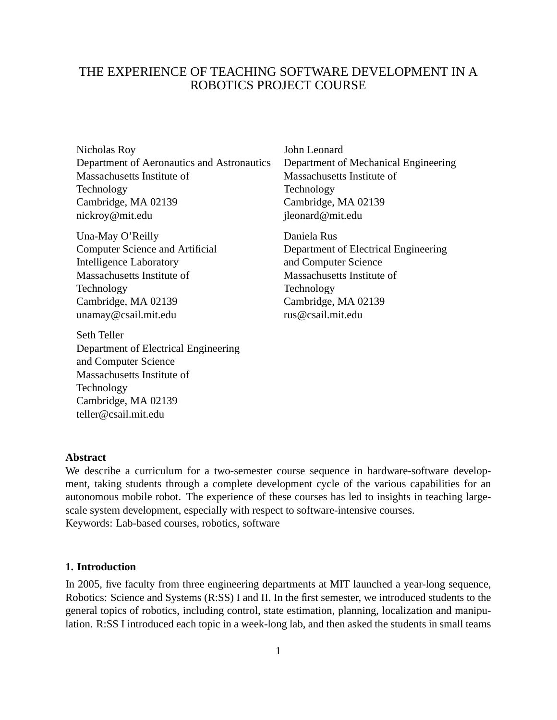# THE EXPERIENCE OF TEACHING SOFTWARE DEVELOPMENT IN A ROBOTICS PROJECT COURSE

Nicholas Roy Department of Aeronautics and Astronautics Massachusetts Institute of Technology Cambridge, MA 02139 nickroy@mit.edu

Una-May O'Reilly Computer Science and Artificial Intelligence Laboratory Massachusetts Institute of Technology Cambridge, MA 02139 unamay@csail.mit.edu

Seth Teller Department of Electrical Engineering and Computer Science Massachusetts Institute of Technology Cambridge, MA 02139 teller@csail.mit.edu

John Leonard Department of Mechanical Engineering Massachusetts Institute of Technology Cambridge, MA 02139 jleonard@mit.edu

Daniela Rus Department of Electrical Engineering and Computer Science Massachusetts Institute of Technology Cambridge, MA 02139 rus@csail.mit.edu

## **Abstract**

We describe a curriculum for a two-semester course sequence in hardware-software development, taking students through a complete development cycle of the various capabilities for an autonomous mobile robot. The experience of these courses has led to insights in teaching largescale system development, especially with respect to software-intensive courses. Keywords: Lab-based courses, robotics, software

### **1. Introduction**

In 2005, five faculty from three engineering departments at MIT launched a year-long sequence, Robotics: Science and Systems (R:SS) I and II. In the first semester, we introduced students to the general topics of robotics, including control, state estimation, planning, localization and manipulation. R:SS I introduced each topic in a week-long lab, and then asked the students in small teams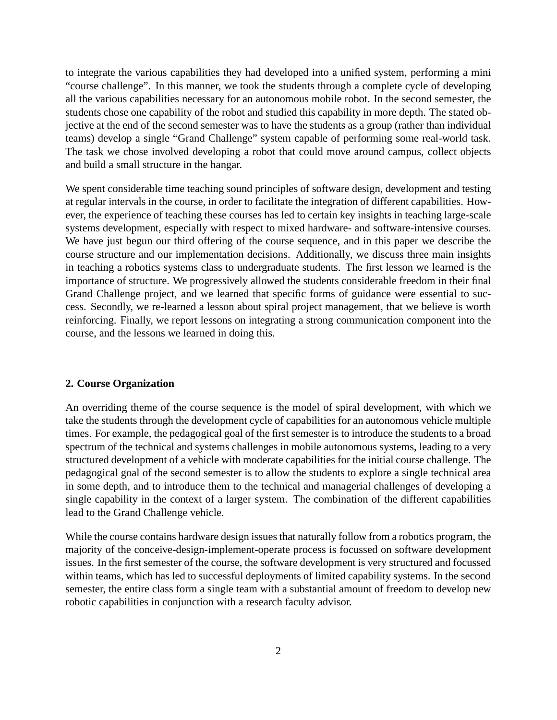to integrate the various capabilities they had developed into a unified system, performing a mini "course challenge". In this manner, we took the students through a complete cycle of developing all the various capabilities necessary for an autonomous mobile robot. In the second semester, the students chose one capability of the robot and studied this capability in more depth. The stated objective at the end of the second semester was to have the students as a group (rather than individual teams) develop a single "Grand Challenge" system capable of performing some real-world task. The task we chose involved developing a robot that could move around campus, collect objects and build a small structure in the hangar.

We spent considerable time teaching sound principles of software design, development and testing at regular intervals in the course, in order to facilitate the integration of different capabilities. However, the experience of teaching these courses has led to certain key insights in teaching large-scale systems development, especially with respect to mixed hardware- and software-intensive courses. We have just begun our third offering of the course sequence, and in this paper we describe the course structure and our implementation decisions. Additionally, we discuss three main insights in teaching a robotics systems class to undergraduate students. The first lesson we learned is the importance of structure. We progressively allowed the students considerable freedom in their final Grand Challenge project, and we learned that specific forms of guidance were essential to success. Secondly, we re-learned a lesson about spiral project management, that we believe is worth reinforcing. Finally, we report lessons on integrating a strong communication component into the course, and the lessons we learned in doing this.

### **2. Course Organization**

An overriding theme of the course sequence is the model of spiral development, with which we take the students through the development cycle of capabilities for an autonomous vehicle multiple times. For example, the pedagogical goal of the first semester is to introduce the students to a broad spectrum of the technical and systems challenges in mobile autonomous systems, leading to a very structured development of a vehicle with moderate capabilities for the initial course challenge. The pedagogical goal of the second semester is to allow the students to explore a single technical area in some depth, and to introduce them to the technical and managerial challenges of developing a single capability in the context of a larger system. The combination of the different capabilities lead to the Grand Challenge vehicle.

While the course contains hardware design issues that naturally follow from a robotics program, the majority of the conceive-design-implement-operate process is focussed on software development issues. In the first semester of the course, the software development is very structured and focussed within teams, which has led to successful deployments of limited capability systems. In the second semester, the entire class form a single team with a substantial amount of freedom to develop new robotic capabilities in conjunction with a research faculty advisor.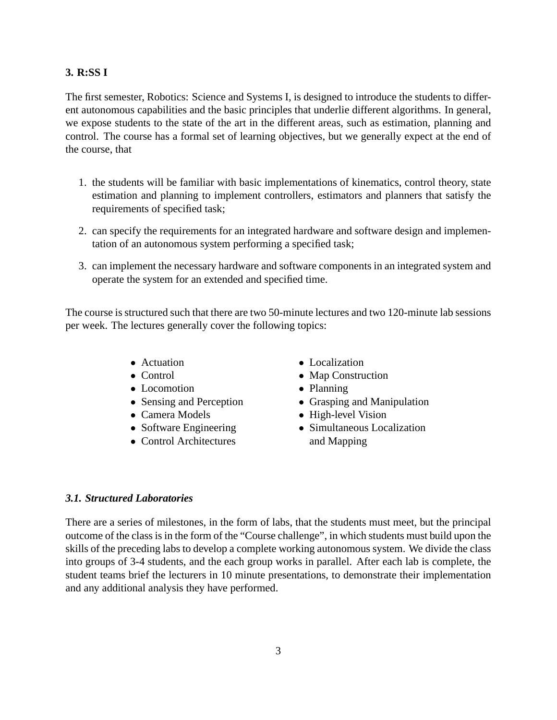# **3. R:SS I**

The first semester, Robotics: Science and Systems I, is designed to introduce the students to different autonomous capabilities and the basic principles that underlie different algorithms. In general, we expose students to the state of the art in the different areas, such as estimation, planning and control. The course has a formal set of learning objectives, but we generally expect at the end of the course, that

- 1. the students will be familiar with basic implementations of kinematics, control theory, state estimation and planning to implement controllers, estimators and planners that satisfy the requirements of specified task;
- 2. can specify the requirements for an integrated hardware and software design and implementation of an autonomous system performing a specified task;
- 3. can implement the necessary hardware and software components in an integrated system and operate the system for an extended and specified time.

The course is structured such that there are two 50-minute lectures and two 120-minute lab sessions per week. The lectures generally cover the following topics:

- Actuation
- Control
- Locomotion
- Sensing and Perception
- Camera Models
- Software Engineering
- Control Architectures
- Localization
- Map Construction
- Planning
- Grasping and Manipulation
- High-level Vision
- Simultaneous Localization and Mapping

# *3.1. Structured Laboratories*

There are a series of milestones, in the form of labs, that the students must meet, but the principal outcome of the class is in the form of the "Course challenge", in which students must build upon the skills of the preceding labs to develop a complete working autonomous system. We divide the class into groups of 3-4 students, and the each group works in parallel. After each lab is complete, the student teams brief the lecturers in 10 minute presentations, to demonstrate their implementation and any additional analysis they have performed.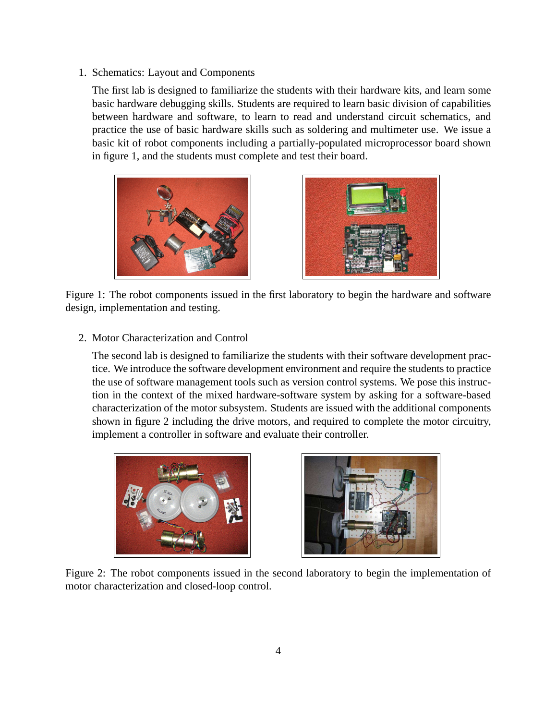1. Schematics: Layout and Components

The first lab is designed to familiarize the students with their hardware kits, and learn some basic hardware debugging skills. Students are required to learn basic division of capabilities between hardware and software, to learn to read and understand circuit schematics, and practice the use of basic hardware skills such as soldering and multimeter use. We issue a basic kit of robot components including a partially-populated microprocessor board shown in figure 1, and the students must complete and test their board.





Figure 1: The robot components issued in the first laboratory to begin the hardware and software design, implementation and testing.

2. Motor Characterization and Control

The second lab is designed to familiarize the students with their software development practice. We introduce the software development environment and require the students to practice the use of software management tools such as version control systems. We pose this instruction in the context of the mixed hardware-software system by asking for a software-based characterization of the motor subsystem. Students are issued with the additional components shown in figure 2 including the drive motors, and required to complete the motor circuitry, implement a controller in software and evaluate their controller.





Figure 2: The robot components issued in the second laboratory to begin the implementation of motor characterization and closed-loop control.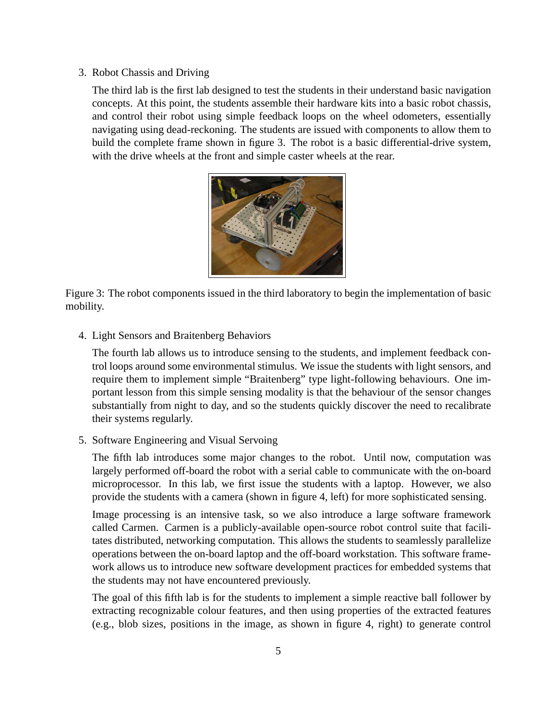3. Robot Chassis and Driving

The third lab is the first lab designed to test the students in their understand basic navigation concepts. At this point, the students assemble their hardware kits into a basic robot chassis, and control their robot using simple feedback loops on the wheel odometers, essentially navigating using dead-reckoning. The students are issued with components to allow them to build the complete frame shown in figure 3. The robot is a basic differential-drive system, with the drive wheels at the front and simple caster wheels at the rear.



Figure 3: The robot components issued in the third laboratory to begin the implementation of basic mobility.

4. Light Sensors and Braitenberg Behaviors

The fourth lab allows us to introduce sensing to the students, and implement feedback control loops around some environmental stimulus. We issue the students with light sensors, and require them to implement simple "Braitenberg" type light-following behaviours. One important lesson from this simple sensing modality is that the behaviour of the sensor changes substantially from night to day, and so the students quickly discover the need to recalibrate their systems regularly.

5. Software Engineering and Visual Servoing

The fifth lab introduces some major changes to the robot. Until now, computation was largely performed off-board the robot with a serial cable to communicate with the on-board microprocessor. In this lab, we first issue the students with a laptop. However, we also provide the students with a camera (shown in figure 4, left) for more sophisticated sensing.

Image processing is an intensive task, so we also introduce a large software framework called Carmen. Carmen is a publicly-available open-source robot control suite that facilitates distributed, networking computation. This allows the students to seamlessly parallelize operations between the on-board laptop and the off-board workstation. This software framework allows us to introduce new software development practices for embedded systems that the students may not have encountered previously.

The goal of this fifth lab is for the students to implement a simple reactive ball follower by extracting recognizable colour features, and then using properties of the extracted features (e.g., blob sizes, positions in the image, as shown in figure 4, right) to generate control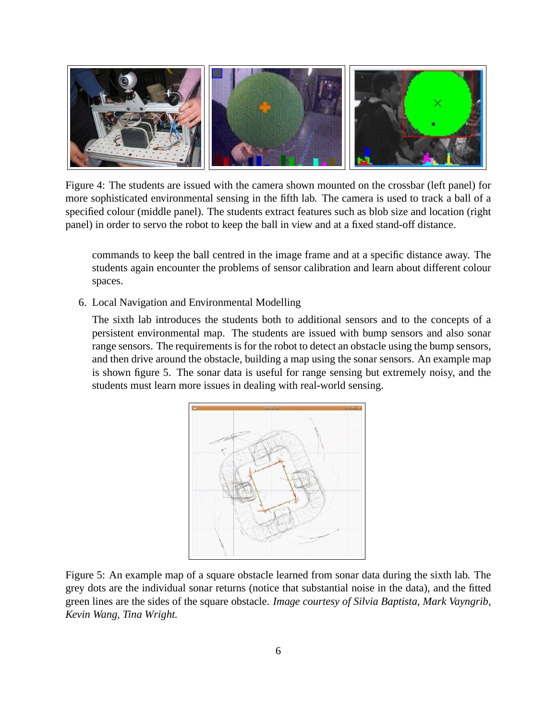

Figure 4: The students are issued with the camera shown mounted on the crossbar (left panel) for more sophisticated environmental sensing in the fifth lab. The camera is used to track a ball of a specified colour (middle panel). The students extract features such as blob size and location (right panel) in order to servo the robot to keep the ball in view and at a fixed stand-off distance.

commands to keep the ball centred in the image frame and at a specific distance away. The students again encounter the problems of sensor calibration and learn about different colour spaces.

6. Local Navigation and Environmental Modelling

The sixth lab introduces the students both to additional sensors and to the concepts of a persistent environmental map. The students are issued with bump sensors and also sonar range sensors. The requirements is for the robot to detect an obstacle using the bump sensors, and then drive around the obstacle, building a map using the sonar sensors. An example map is shown figure 5. The sonar data is useful for range sensing but extremely noisy, and the students must learn more issues in dealing with real-world sensing.



Figure 5: An example map of a square obstacle learned from sonar data during the sixth lab. The grey dots are the individual sonar returns (notice that substantial noise in the data), and the fitted green lines are the sides of the square obstacle. *Image courtesy of Silvia Baptista, Mark Vayngrib, Kevin Wang, Tina Wright.*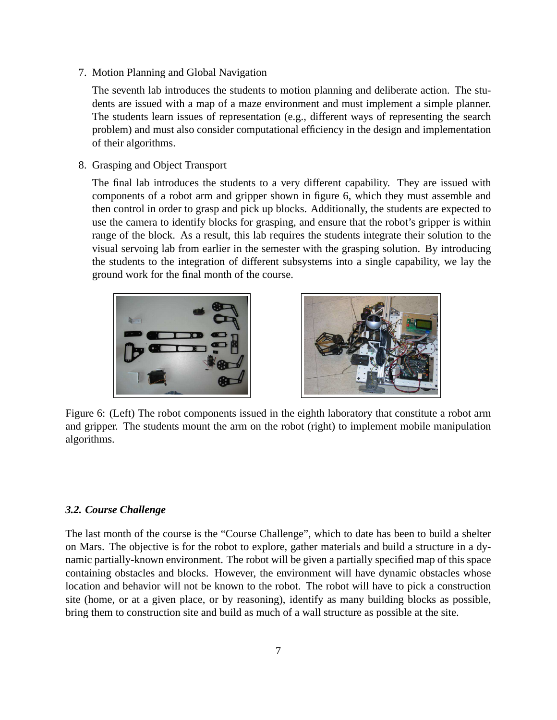7. Motion Planning and Global Navigation

The seventh lab introduces the students to motion planning and deliberate action. The students are issued with a map of a maze environment and must implement a simple planner. The students learn issues of representation (e.g., different ways of representing the search problem) and must also consider computational efficiency in the design and implementation of their algorithms.

8. Grasping and Object Transport

The final lab introduces the students to a very different capability. They are issued with components of a robot arm and gripper shown in figure 6, which they must assemble and then control in order to grasp and pick up blocks. Additionally, the students are expected to use the camera to identify blocks for grasping, and ensure that the robot's gripper is within range of the block. As a result, this lab requires the students integrate their solution to the visual servoing lab from earlier in the semester with the grasping solution. By introducing the students to the integration of different subsystems into a single capability, we lay the ground work for the final month of the course.





Figure 6: (Left) The robot components issued in the eighth laboratory that constitute a robot arm and gripper. The students mount the arm on the robot (right) to implement mobile manipulation algorithms.

# *3.2. Course Challenge*

The last month of the course is the "Course Challenge", which to date has been to build a shelter on Mars. The objective is for the robot to explore, gather materials and build a structure in a dynamic partially-known environment. The robot will be given a partially specified map of this space containing obstacles and blocks. However, the environment will have dynamic obstacles whose location and behavior will not be known to the robot. The robot will have to pick a construction site (home, or at a given place, or by reasoning), identify as many building blocks as possible, bring them to construction site and build as much of a wall structure as possible at the site.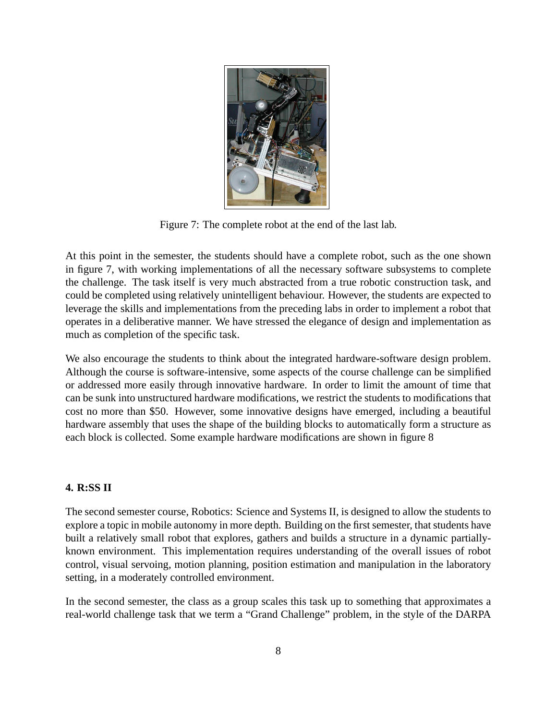

Figure 7: The complete robot at the end of the last lab.

At this point in the semester, the students should have a complete robot, such as the one shown in figure 7, with working implementations of all the necessary software subsystems to complete the challenge. The task itself is very much abstracted from a true robotic construction task, and could be completed using relatively unintelligent behaviour. However, the students are expected to leverage the skills and implementations from the preceding labs in order to implement a robot that operates in a deliberative manner. We have stressed the elegance of design and implementation as much as completion of the specific task.

We also encourage the students to think about the integrated hardware-software design problem. Although the course is software-intensive, some aspects of the course challenge can be simplified or addressed more easily through innovative hardware. In order to limit the amount of time that can be sunk into unstructured hardware modifications, we restrict the students to modifications that cost no more than \$50. However, some innovative designs have emerged, including a beautiful hardware assembly that uses the shape of the building blocks to automatically form a structure as each block is collected. Some example hardware modifications are shown in figure 8

# **4. R:SS II**

The second semester course, Robotics: Science and Systems II, is designed to allow the students to explore a topic in mobile autonomy in more depth. Building on the first semester, that students have built a relatively small robot that explores, gathers and builds a structure in a dynamic partiallyknown environment. This implementation requires understanding of the overall issues of robot control, visual servoing, motion planning, position estimation and manipulation in the laboratory setting, in a moderately controlled environment.

In the second semester, the class as a group scales this task up to something that approximates a real-world challenge task that we term a "Grand Challenge" problem, in the style of the DARPA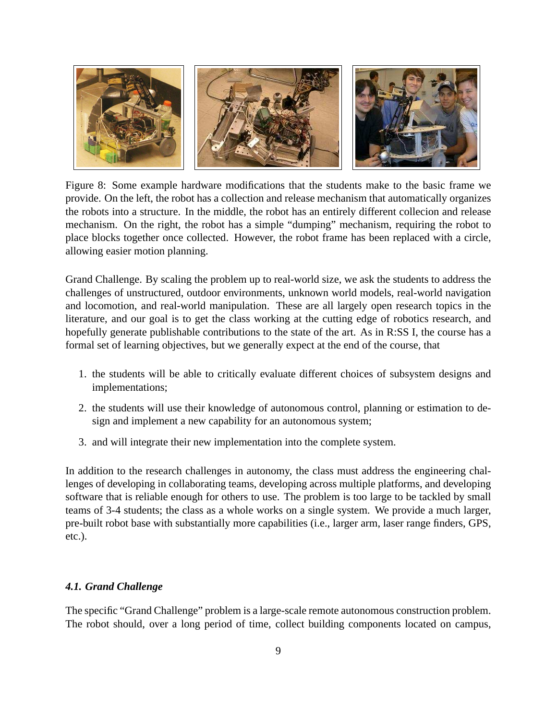

Figure 8: Some example hardware modifications that the students make to the basic frame we provide. On the left, the robot has a collection and release mechanism that automatically organizes the robots into a structure. In the middle, the robot has an entirely different collecion and release mechanism. On the right, the robot has a simple "dumping" mechanism, requiring the robot to place blocks together once collected. However, the robot frame has been replaced with a circle, allowing easier motion planning.

Grand Challenge. By scaling the problem up to real-world size, we ask the students to address the challenges of unstructured, outdoor environments, unknown world models, real-world navigation and locomotion, and real-world manipulation. These are all largely open research topics in the literature, and our goal is to get the class working at the cutting edge of robotics research, and hopefully generate publishable contributions to the state of the art. As in R:SS I, the course has a formal set of learning objectives, but we generally expect at the end of the course, that

- 1. the students will be able to critically evaluate different choices of subsystem designs and implementations;
- 2. the students will use their knowledge of autonomous control, planning or estimation to design and implement a new capability for an autonomous system;
- 3. and will integrate their new implementation into the complete system.

In addition to the research challenges in autonomy, the class must address the engineering challenges of developing in collaborating teams, developing across multiple platforms, and developing software that is reliable enough for others to use. The problem is too large to be tackled by small teams of 3-4 students; the class as a whole works on a single system. We provide a much larger, pre-built robot base with substantially more capabilities (i.e., larger arm, laser range finders, GPS, etc.).

# *4.1. Grand Challenge*

The specific "Grand Challenge" problem is a large-scale remote autonomous construction problem. The robot should, over a long period of time, collect building components located on campus,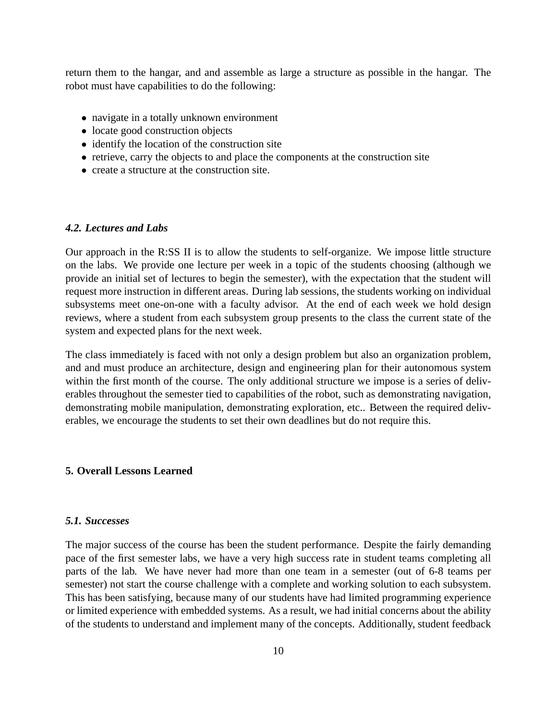return them to the hangar, and and assemble as large a structure as possible in the hangar. The robot must have capabilities to do the following:

- navigate in a totally unknown environment
- locate good construction objects
- identify the location of the construction site
- retrieve, carry the objects to and place the components at the construction site
- create a structure at the construction site.

#### *4.2. Lectures and Labs*

Our approach in the R:SS II is to allow the students to self-organize. We impose little structure on the labs. We provide one lecture per week in a topic of the students choosing (although we provide an initial set of lectures to begin the semester), with the expectation that the student will request more instruction in different areas. During lab sessions, the students working on individual subsystems meet one-on-one with a faculty advisor. At the end of each week we hold design reviews, where a student from each subsystem group presents to the class the current state of the system and expected plans for the next week.

The class immediately is faced with not only a design problem but also an organization problem, and and must produce an architecture, design and engineering plan for their autonomous system within the first month of the course. The only additional structure we impose is a series of deliverables throughout the semester tied to capabilities of the robot, such as demonstrating navigation, demonstrating mobile manipulation, demonstrating exploration, etc.. Between the required deliverables, we encourage the students to set their own deadlines but do not require this.

## **5. Overall Lessons Learned**

### *5.1. Successes*

The major success of the course has been the student performance. Despite the fairly demanding pace of the first semester labs, we have a very high success rate in student teams completing all parts of the lab. We have never had more than one team in a semester (out of 6-8 teams per semester) not start the course challenge with a complete and working solution to each subsystem. This has been satisfying, because many of our students have had limited programming experience or limited experience with embedded systems. As a result, we had initial concerns about the ability of the students to understand and implement many of the concepts. Additionally, student feedback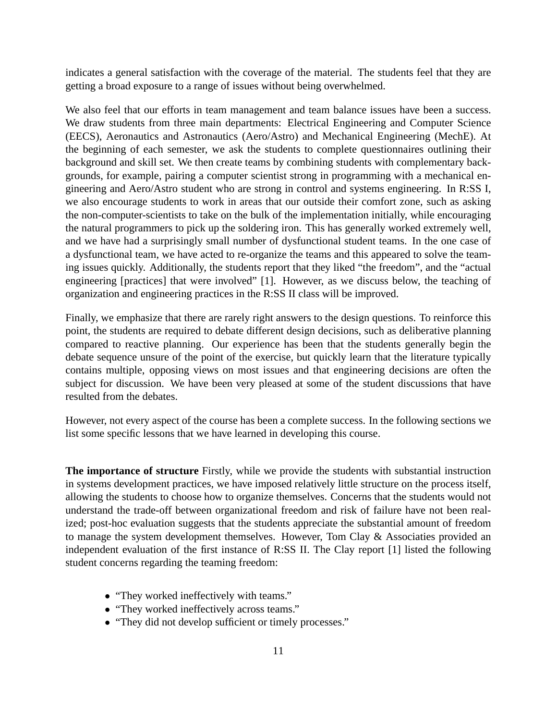indicates a general satisfaction with the coverage of the material. The students feel that they are getting a broad exposure to a range of issues without being overwhelmed.

We also feel that our efforts in team management and team balance issues have been a success. We draw students from three main departments: Electrical Engineering and Computer Science (EECS), Aeronautics and Astronautics (Aero/Astro) and Mechanical Engineering (MechE). At the beginning of each semester, we ask the students to complete questionnaires outlining their background and skill set. We then create teams by combining students with complementary backgrounds, for example, pairing a computer scientist strong in programming with a mechanical engineering and Aero/Astro student who are strong in control and systems engineering. In R:SS I, we also encourage students to work in areas that our outside their comfort zone, such as asking the non-computer-scientists to take on the bulk of the implementation initially, while encouraging the natural programmers to pick up the soldering iron. This has generally worked extremely well, and we have had a surprisingly small number of dysfunctional student teams. In the one case of a dysfunctional team, we have acted to re-organize the teams and this appeared to solve the teaming issues quickly. Additionally, the students report that they liked "the freedom", and the "actual engineering [practices] that were involved" [1]. However, as we discuss below, the teaching of organization and engineering practices in the R:SS II class will be improved.

Finally, we emphasize that there are rarely right answers to the design questions. To reinforce this point, the students are required to debate different design decisions, such as deliberative planning compared to reactive planning. Our experience has been that the students generally begin the debate sequence unsure of the point of the exercise, but quickly learn that the literature typically contains multiple, opposing views on most issues and that engineering decisions are often the subject for discussion. We have been very pleased at some of the student discussions that have resulted from the debates.

However, not every aspect of the course has been a complete success. In the following sections we list some specific lessons that we have learned in developing this course.

**The importance of structure** Firstly, while we provide the students with substantial instruction in systems development practices, we have imposed relatively little structure on the process itself, allowing the students to choose how to organize themselves. Concerns that the students would not understand the trade-off between organizational freedom and risk of failure have not been realized; post-hoc evaluation suggests that the students appreciate the substantial amount of freedom to manage the system development themselves. However, Tom Clay & Associaties provided an independent evaluation of the first instance of R:SS II. The Clay report [1] listed the following student concerns regarding the teaming freedom:

- "They worked ineffectively with teams."
- "They worked ineffectively across teams."
- "They did not develop sufficient or timely processes."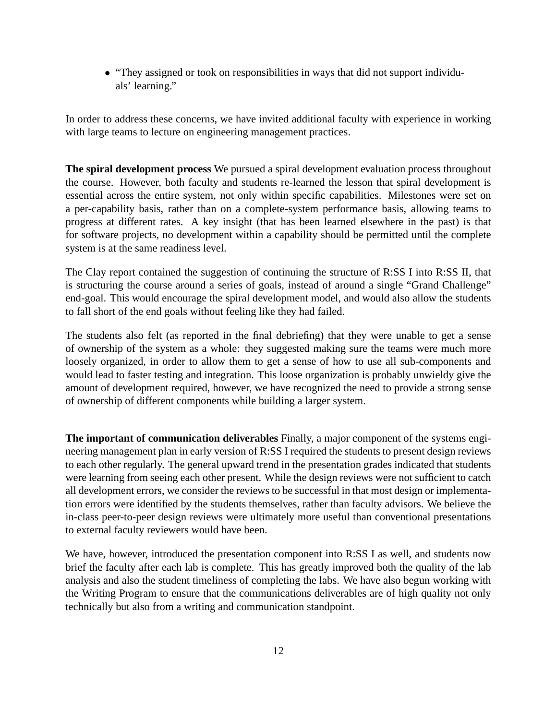• "They assigned or took on responsibilities in ways that did not support individuals' learning."

In order to address these concerns, we have invited additional faculty with experience in working with large teams to lecture on engineering management practices.

**The spiral development process** We pursued a spiral development evaluation process throughout the course. However, both faculty and students re-learned the lesson that spiral development is essential across the entire system, not only within specific capabilities. Milestones were set on a per-capability basis, rather than on a complete-system performance basis, allowing teams to progress at different rates. A key insight (that has been learned elsewhere in the past) is that for software projects, no development within a capability should be permitted until the complete system is at the same readiness level.

The Clay report contained the suggestion of continuing the structure of R:SS I into R:SS II, that is structuring the course around a series of goals, instead of around a single "Grand Challenge" end-goal. This would encourage the spiral development model, and would also allow the students to fall short of the end goals without feeling like they had failed.

The students also felt (as reported in the final debriefing) that they were unable to get a sense of ownership of the system as a whole: they suggested making sure the teams were much more loosely organized, in order to allow them to get a sense of how to use all sub-components and would lead to faster testing and integration. This loose organization is probably unwieldy give the amount of development required, however, we have recognized the need to provide a strong sense of ownership of different components while building a larger system.

**The important of communication deliverables** Finally, a major component of the systems engineering management plan in early version of R:SS I required the students to present design reviews to each other regularly. The general upward trend in the presentation grades indicated that students were learning from seeing each other present. While the design reviews were not sufficient to catch all development errors, we consider the reviews to be successful in that most design or implementation errors were identified by the students themselves, rather than faculty advisors. We believe the in-class peer-to-peer design reviews were ultimately more useful than conventional presentations to external faculty reviewers would have been.

We have, however, introduced the presentation component into R:SS I as well, and students now brief the faculty after each lab is complete. This has greatly improved both the quality of the lab analysis and also the student timeliness of completing the labs. We have also begun working with the Writing Program to ensure that the communications deliverables are of high quality not only technically but also from a writing and communication standpoint.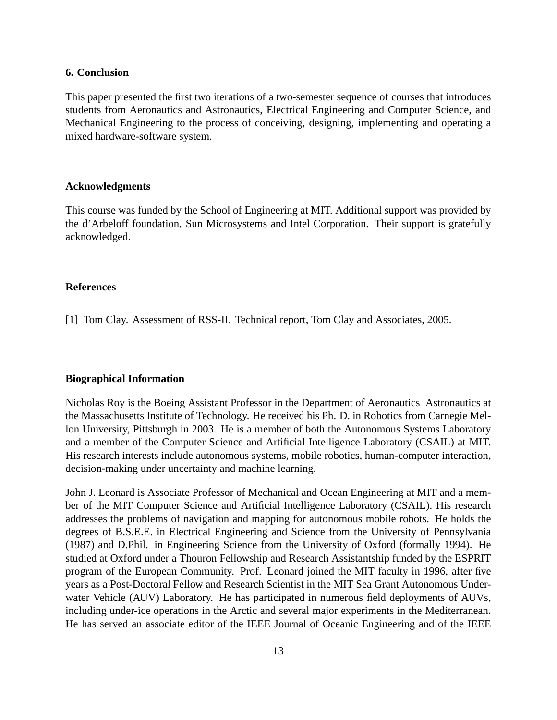### **6. Conclusion**

This paper presented the first two iterations of a two-semester sequence of courses that introduces students from Aeronautics and Astronautics, Electrical Engineering and Computer Science, and Mechanical Engineering to the process of conceiving, designing, implementing and operating a mixed hardware-software system.

### **Acknowledgments**

This course was funded by the School of Engineering at MIT. Additional support was provided by the d'Arbeloff foundation, Sun Microsystems and Intel Corporation. Their support is gratefully acknowledged.

## **References**

[1] Tom Clay. Assessment of RSS-II. Technical report, Tom Clay and Associates, 2005.

#### **Biographical Information**

Nicholas Roy is the Boeing Assistant Professor in the Department of Aeronautics Astronautics at the Massachusetts Institute of Technology. He received his Ph. D. in Robotics from Carnegie Mellon University, Pittsburgh in 2003. He is a member of both the Autonomous Systems Laboratory and a member of the Computer Science and Artificial Intelligence Laboratory (CSAIL) at MIT. His research interests include autonomous systems, mobile robotics, human-computer interaction, decision-making under uncertainty and machine learning.

John J. Leonard is Associate Professor of Mechanical and Ocean Engineering at MIT and a member of the MIT Computer Science and Artificial Intelligence Laboratory (CSAIL). His research addresses the problems of navigation and mapping for autonomous mobile robots. He holds the degrees of B.S.E.E. in Electrical Engineering and Science from the University of Pennsylvania (1987) and D.Phil. in Engineering Science from the University of Oxford (formally 1994). He studied at Oxford under a Thouron Fellowship and Research Assistantship funded by the ESPRIT program of the European Community. Prof. Leonard joined the MIT faculty in 1996, after five years as a Post-Doctoral Fellow and Research Scientist in the MIT Sea Grant Autonomous Underwater Vehicle (AUV) Laboratory. He has participated in numerous field deployments of AUVs, including under-ice operations in the Arctic and several major experiments in the Mediterranean. He has served an associate editor of the IEEE Journal of Oceanic Engineering and of the IEEE